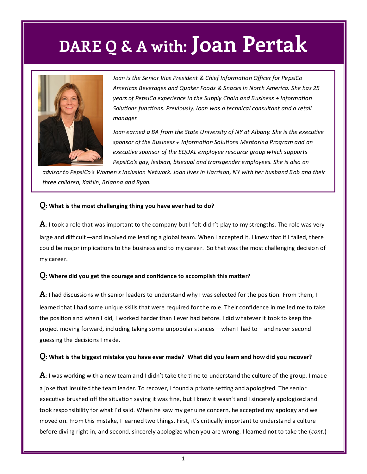## **DARE Q & A with: Joan Pertak**



*Joan is the Senior Vice President & Chief Information Officer for PepsiCo Americas Beverages and Quaker Foods & Snacks in North America. She has 25 years of PepsiCo experience in the Supply Chain and Business + Information Solutions functions. Previously, Joan was a technical consultant and a retail manager.* 

*Joan earned a BA from the State University of NY at Albany. She is the executive sponsor of the Business + Information Solutions Mentoring Program and an executive sponsor of the EQUAL employee resource group which supports PepsiCo's gay, lesbian, bisexual and transgender employees. She is also an* 

*advisor to PepsiCo's Women's Inclusion Network. Joan lives in Harrison, NY with her husband Bob and their three children, Kaitlin, Brianna and Ryan.*

### **Q: What is the most challenging thing you have ever had to do?**

**A**: I took a role that was important to the company but I felt didn't play to my strengths. The role was very large and difficult—and involved me leading a global team. When I accepted it, I knew that if I failed, there could be major implications to the business and to my career. So that was the most challenging decision of my career.

### **Q: Where did you get the courage and confidence to accomplish this matter?**

**A**: I had discussions with senior leaders to understand why I was selected for the position. From them, I learned that I had some unique skills that were required for the role. Their confidence in me led me to take the position and when I did, I worked harder than I ever had before. I did whatever it took to keep the project moving forward, including taking some unpopular stances—when I had to—and never second guessing the decisions I made.

### **Q: What is the biggest mistake you have ever made? What did you learn and how did you recover?**

**A**: I was working with a new team and I didn't take the time to understand the culture of the group. I made a joke that insulted the team leader. To recover, I found a private setting and apologized. The senior executive brushed off the situation saying it was fine, but I knew it wasn't and I sincerely apologized and took responsibility for what I'd said. When he saw my genuine concern, he accepted my apology and we moved on. From this mistake, I learned two things. First, it's critically important to understand a culture before diving right in, and second, sincerely apologize when you are wrong. I learned not to take the (*cont.*)